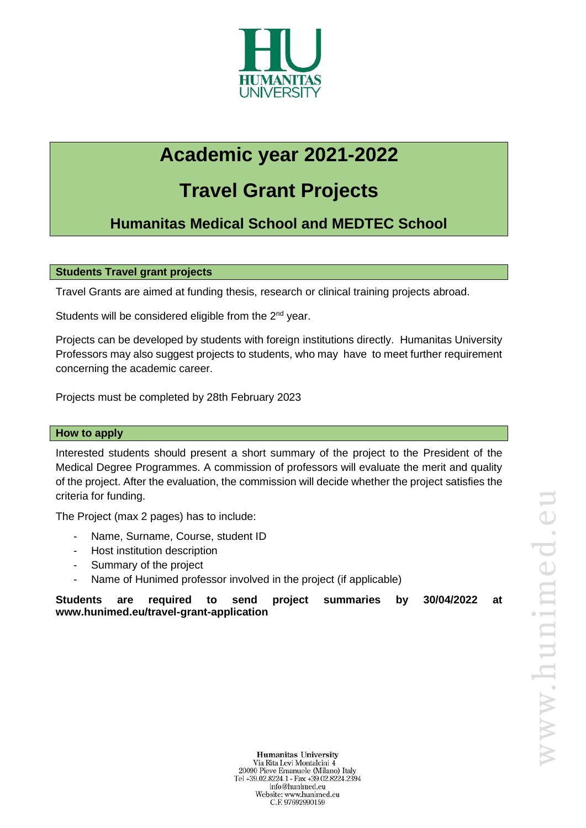

# **Academic year 2021-2022**

## **Travel Grant Projects**

**Humanitas Medical School and MEDTEC School**

### **Students Travel grant projects**

Travel Grants are aimed at funding thesis, research or clinical training projects abroad.

Students will be considered eligible from the 2<sup>nd</sup> year.

Projects can be developed by students with foreign institutions directly. Humanitas University Professors may also suggest projects to students, who may have to meet further requirement concerning the academic career.

Projects must be completed by 28th February 2023

#### **How to apply**

Interested students should present a short summary of the project to the President of the Medical Degree Programmes. A commission of professors will evaluate the merit and quality of the project. After the evaluation, the commission will decide whether the project satisfies the criteria for funding.

The Project (max 2 pages) has to include:

- Name, Surname, Course, student ID
- Host institution description
- Summary of the project
- Name of Hunimed professor involved in the project (if applicable)

**Students are required to send project summaries by 30/04/2022 at www.hunimed.eu/travel-grant-application**

**Humanitas University** Via Rita Levi Montalcini 4 20090 Pieve Emanuele (Milano) Italy Tel +39.02.8224.1 - Fax +39.02.8224.2394 info@hunimed.eu Website: www.hunimed.eu C.F. 97692990159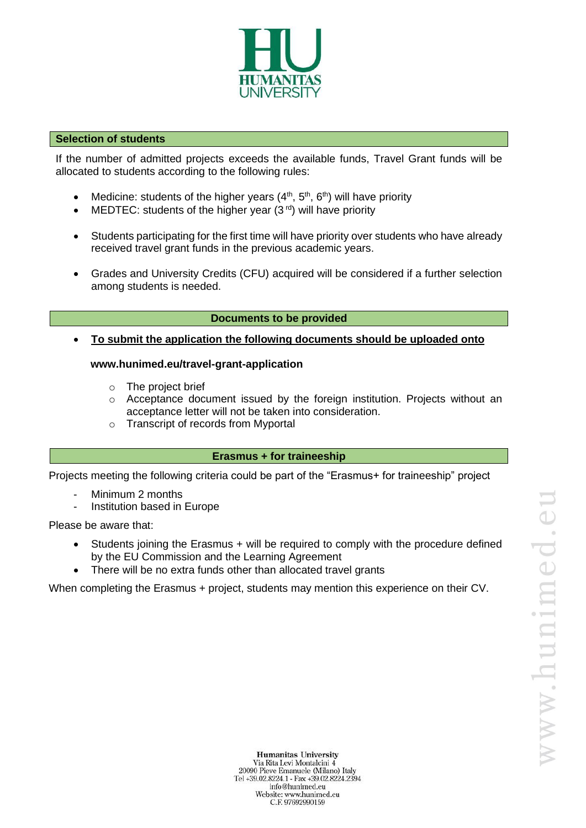

#### **Selection of students**

If the number of admitted projects exceeds the available funds, Travel Grant funds will be allocated to students according to the following rules:

- Medicine: students of the higher years  $(4<sup>th</sup>, 5<sup>th</sup>, 6<sup>th</sup>)$  will have priority
- MEDTEC: students of the higher year  $(3^{rd})$  will have priority
- Students participating for the first time will have priority over students who have already received travel grant funds in the previous academic years.
- Grades and University Credits (CFU) acquired will be considered if a further selection among students is needed.

#### **Documents to be provided**

• **To submit the application the following documents should be uploaded onto**

#### **www.hunimed.eu/travel-grant-application**

- o The project brief
- $\circ$  Acceptance document issued by the foreign institution. Projects without an acceptance letter will not be taken into consideration.
- o Transcript of records from Myportal

#### **Erasmus + for traineeship**

Projects meeting the following criteria could be part of the "Erasmus+ for traineeship" project

- Minimum 2 months
- Institution based in Europe

Please be aware that:

- Students joining the Erasmus + will be required to comply with the procedure defined by the EU Commission and the Learning Agreement
- There will be no extra funds other than allocated travel grants

When completing the Erasmus + project, students may mention this experience on their CV.